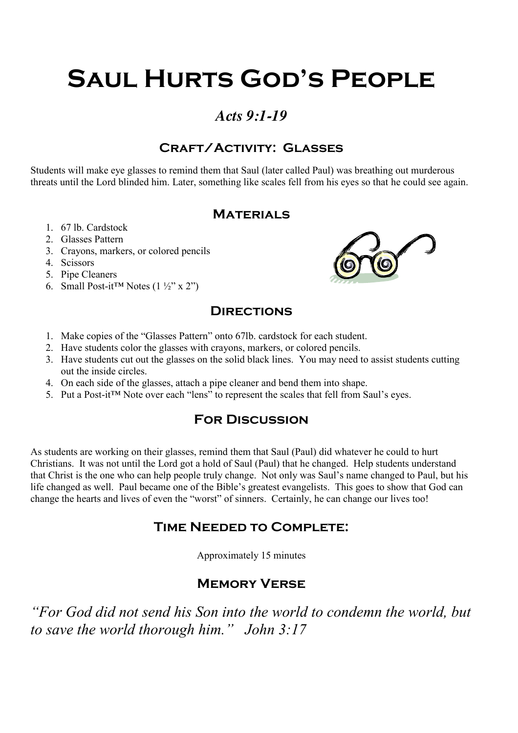# **Saul Hurts God's People**

## *Acts 9:1-19*

### **Craft/Activity: Glasses**

Students will make eye glasses to remind them that Saul (later called Paul) was breathing out murderous threats until the Lord blinded him. Later, something like scales fell from his eyes so that he could see again.

#### **Materials**

- 1. 67 lb. Cardstock
- 2. Glasses Pattern
- 3. Crayons, markers, or colored pencils
- 4. Scissors
- 5. Pipe Cleaners
- 6. Small Post-it™ Notes  $(1 \frac{1}{2}$ " x 2")



#### **Directions**

- 1. Make copies of the "Glasses Pattern" onto 67lb. cardstock for each student.
- 2. Have students color the glasses with crayons, markers, or colored pencils.
- 3. Have students cut out the glasses on the solid black lines. You may need to assist students cutting out the inside circles.
- 4. On each side of the glasses, attach a pipe cleaner and bend them into shape.
- 5. Put a Post-it™ Note over each "lens" to represent the scales that fell from Saul's eyes.

#### **For Discussion**

As students are working on their glasses, remind them that Saul (Paul) did whatever he could to hurt Christians. It was not until the Lord got a hold of Saul (Paul) that he changed. Help students understand that Christ is the one who can help people truly change. Not only was Saul's name changed to Paul, but his life changed as well. Paul became one of the Bible's greatest evangelists. This goes to show that God can change the hearts and lives of even the "worst" of sinners. Certainly, he can change our lives too!

#### **Time Needed to Complete:**

Approximately 15 minutes

### **Memory Verse**

*"For God did not send his Son into the world to condemn the world, but to save the world thorough him." John 3:17*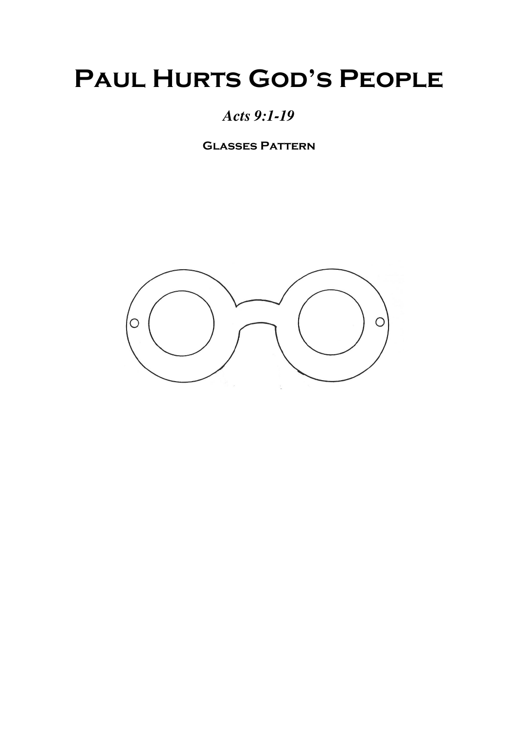## **PAUL HURTS GOD'S PEOPLE**

## *Acts 9:1-19*

**Glasses Pattern**